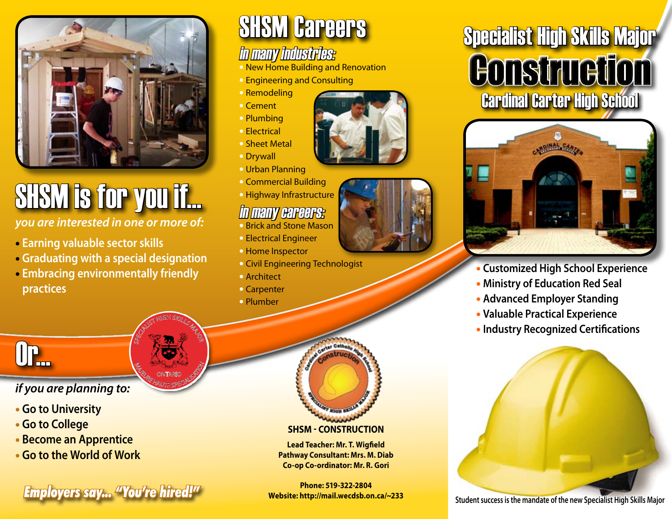

# SHSM is for you if...

*you are interested in one or more of:* 

- • **Earning valuable sector skills**
- • **Graduating with a special designation**
- • **Embracing environmentally friendly practices**

SPECIALIST HIGH SKILLS MAJOR

**M<sub>ALITES</sub> CONTARIO SPICE ONTARIC** 

## SHSM Careers

### in many industries:

- New Home Building and Renovation
- Engineering and Consulting
- Remodeling
- Cement
- Plumbing
- Electrical
- Sheet Metal
- Drywall
- Urban Planning
- Commercial Building
- Highway Infrastructure

#### in many careers:

- Brick and Stone Mason
- Electrical Engineer
- Home Inspector
- Civil Engineering Technologist
- Architect
- Carpenter
- Plumber





## Specialist High Skills Major Construction Cardinal Carter High School



- **Customized High School Experience**
- **Ministry of Education Red Seal**
- **Advanced Employer Standing**
- **Valuable Practical Experience**
- **Industry Recognized Certifications**



Or...

#### *if you are planning to:*

- • **Go to University**
- • **Go to College**
- • **Become an Apprentice**
- • **Go to the World of Work**

**FIND STAGE STRESS SAY... "You're hired!"** Website: http://mail.wecdsb.on.ca/~233<br>Student success is the mandate of the new Specialist High Skills Major

#### **SHSM - Construction**

**Lead Teacher: Mr. T. Wigfield Pathway Consultant: Mrs. M. Diab Co-op Co-ordinator: Mr. R. Gori**

**Phone: 519-322-2804 Website: http://mail.wecdsb.on.ca/~233**